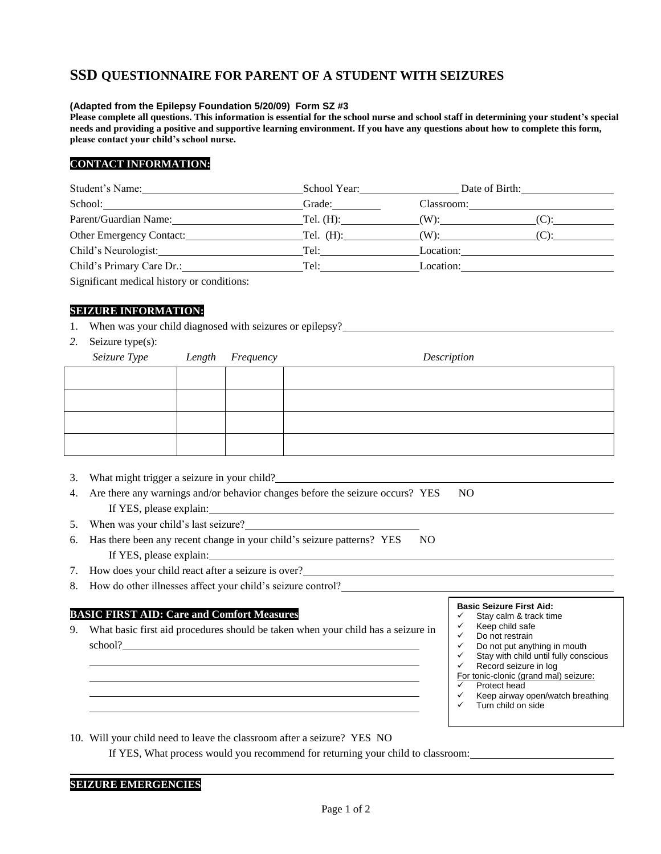# **SSD QUESTIONNAIRE FOR PARENT OF A STUDENT WITH SEIZURES**

### **(Adapted from the Epilepsy Foundation 5/20/09) Form SZ #3**

 **Please complete all questions. This information is essential for the school nurse and school staff in determining your student's special needs and providing a positive and supportive learning environment. If you have any questions about how to complete this form, please contact your child's school nurse.**

## **CONTACT INFORMATION:**

| Student's Name:                                               | School Year: | Date of Birth: |         |  |
|---------------------------------------------------------------|--------------|----------------|---------|--|
| School:<br><u> 1989 - John Stein, Amerikaansk politiker (</u> | Grade:       | Classroom:     |         |  |
| Parent/Guardian Name:                                         | Tel. $(H)$ : | $(W)$ :        |         |  |
| Other Emergency Contact:                                      | Tel. (H):    |                | $(C)$ : |  |
| Child's Neurologist:                                          | Tel:         | Location:      |         |  |
| Child's Primary Care Dr.:                                     | Tel:         | Location:      |         |  |
|                                                               |              |                |         |  |

Significant medical history or conditions:

### **SEIZURE INFORMATION:**

- 1. When was your child diagnosed with seizures or epilepsy?
- *2.* Seizure type(s):

| Seizure Type Length Frequency |  | Description |  |
|-------------------------------|--|-------------|--|
|                               |  |             |  |
|                               |  |             |  |
|                               |  |             |  |
|                               |  |             |  |

- 3. What might trigger a seizure in your child?
- 4. Are there any warnings and/or behavior changes before the seizure occurs? YES NO If YES, please explain:
- 5. When was your child's last seizure?
- 6. Has there been any recent change in your child's seizure patterns? YES NO If YES, please explain:
- 7. How does your child react after a seizure is over?
- If YES, please explain: I<br>
T. How does your child react after a seizure is over? I<br>
S. How do other illnesses affect your child's seizure control?

### **BASIC FIRST AID: Care and Comfort Measures**

school? 9. What basic first aid procedures should be taken when your child has a seizure in **Basic Seizure First Aid:**<br>
What basic first aid procedures should be taken when your child has a seizure in<br>
school?<br>
School?<br>
School?<br>
School?<br>
Basic Seizure First Aid:<br>  $\begin{array}{ccc}\n\downarrow & \text{Stag calm & \text{tack tin} \\
\downarrow & \text{Stag calm & \text{tack tin} \\
\downarrow$ 

- $\checkmark$  Stay calm & track time
- $\checkmark$  Keep child safe
- Do not restrain
- Do not put anything in mouth  $\checkmark$  Stay with child until fully conscious
- $\checkmark$  Record seizure in log
- For tonic-clonic (grand mal) seizure:
- $\checkmark$  Protect head
- $\checkmark$  Keep airway open/watch breathing<br> $\checkmark$  Turn child on side
- Turn child on side

10. Will your child need to leave the classroom after a seizure? YES NO

If YES, What process would you recommend for returning your child to classroom:

### **SEIZURE EMERGENCIES**